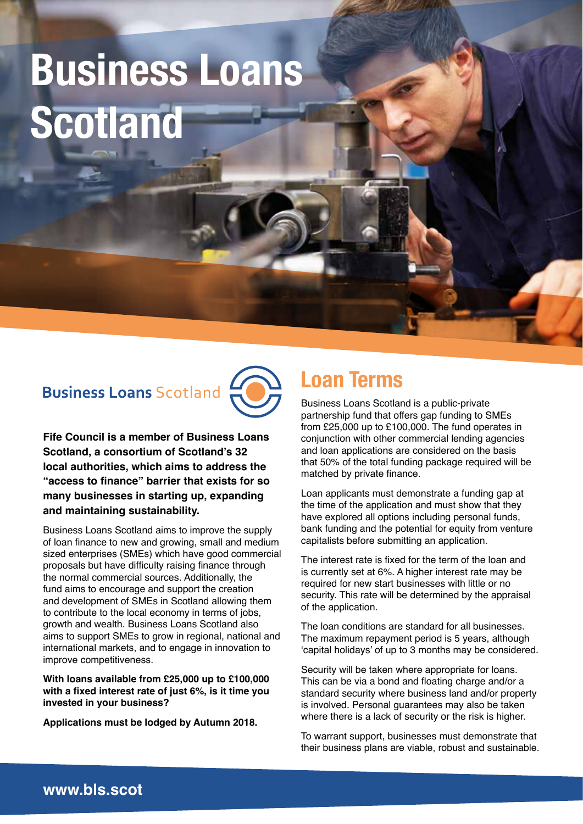# **Business Loans Scotland**

### **Business Loans Scotland**



**Fife Council is a member of Business Loans Scotland, a consortium of Scotland's 32 local authorities, which aims to address the "access to finance" barrier that exists for so many businesses in starting up, expanding and maintaining sustainability.**

Business Loans Scotland aims to improve the supply of loan finance to new and growing, small and medium sized enterprises (SMEs) which have good commercial proposals but have difficulty raising finance through the normal commercial sources. Additionally, the fund aims to encourage and support the creation and development of SMEs in Scotland allowing them to contribute to the local economy in terms of jobs, growth and wealth. Business Loans Scotland also aims to support SMEs to grow in regional, national and international markets, and to engage in innovation to improve competitiveness.

**With loans available from £25,000 up to £100,000 with a fixed interest rate of just 6%, is it time you invested in your business?**

**Applications must be lodged by Autumn 2018.**

## **Loan Terms**

Business Loans Scotland is a public-private partnership fund that offers gap funding to SMEs from £25,000 up to £100,000. The fund operates in conjunction with other commercial lending agencies and loan applications are considered on the basis that 50% of the total funding package required will be matched by private finance.

Loan applicants must demonstrate a funding gap at the time of the application and must show that they have explored all options including personal funds, bank funding and the potential for equity from venture capitalists before submitting an application.

The interest rate is fixed for the term of the loan and is currently set at 6%. A higher interest rate may be required for new start businesses with little or no security. This rate will be determined by the appraisal of the application.

The loan conditions are standard for all businesses. The maximum repayment period is 5 years, although 'capital holidays' of up to 3 months may be considered.

Security will be taken where appropriate for loans. This can be via a bond and floating charge and/or a standard security where business land and/or property is involved. Personal guarantees may also be taken where there is a lack of security or the risk is higher.

To warrant support, businesses must demonstrate that their business plans are viable, robust and sustainable.